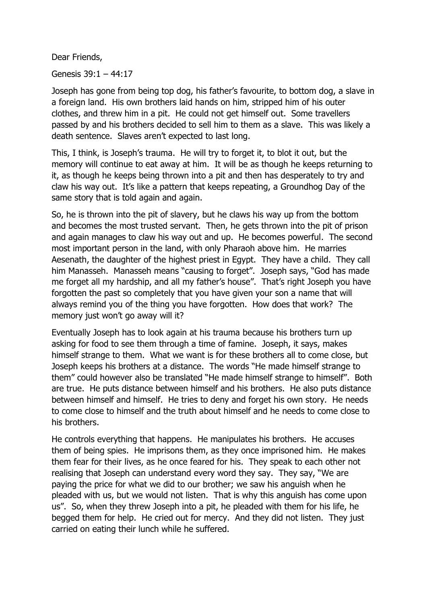Dear Friends,

Genesis 39:1 – 44:17

Joseph has gone from being top dog, his father's favourite, to bottom dog, a slave in a foreign land. His own brothers laid hands on him, stripped him of his outer clothes, and threw him in a pit. He could not get himself out. Some travellers passed by and his brothers decided to sell him to them as a slave. This was likely a death sentence. Slaves aren't expected to last long.

This, I think, is Joseph's trauma. He will try to forget it, to blot it out, but the memory will continue to eat away at him. It will be as though he keeps returning to it, as though he keeps being thrown into a pit and then has desperately to try and claw his way out. It's like a pattern that keeps repeating, a Groundhog Day of the same story that is told again and again.

So, he is thrown into the pit of slavery, but he claws his way up from the bottom and becomes the most trusted servant. Then, he gets thrown into the pit of prison and again manages to claw his way out and up. He becomes powerful. The second most important person in the land, with only Pharaoh above him. He marries Aesenath, the daughter of the highest priest in Egypt. They have a child. They call him Manasseh. Manasseh means "causing to forget". Joseph says, "God has made me forget all my hardship, and all my father's house". That's right Joseph you have forgotten the past so completely that you have given your son a name that will always remind you of the thing you have forgotten. How does that work? The memory just won't go away will it?

Eventually Joseph has to look again at his trauma because his brothers turn up asking for food to see them through a time of famine. Joseph, it says, makes himself strange to them. What we want is for these brothers all to come close, but Joseph keeps his brothers at a distance. The words "He made himself strange to them" could however also be translated "He made himself strange to himself". Both are true. He puts distance between himself and his brothers. He also puts distance between himself and himself. He tries to deny and forget his own story. He needs to come close to himself and the truth about himself and he needs to come close to his brothers.

He controls everything that happens. He manipulates his brothers. He accuses them of being spies. He imprisons them, as they once imprisoned him. He makes them fear for their lives, as he once feared for his. They speak to each other not realising that Joseph can understand every word they say. They say, "We are paying the price for what we did to our brother; we saw his anguish when he pleaded with us, but we would not listen. That is why this anguish has come upon us". So, when they threw Joseph into a pit, he pleaded with them for his life, he begged them for help. He cried out for mercy. And they did not listen. They just carried on eating their lunch while he suffered.